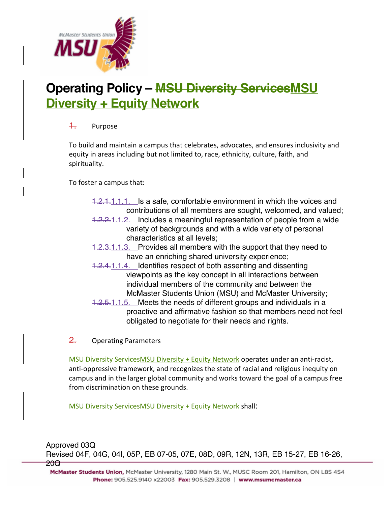

## **Operating Policy – MSU Diversity ServicesMSU Diversity + Equity Network**

## 1. Purpose

To build and maintain a campus that celebrates, advocates, and ensures inclusivity and equity in areas including but not limited to, race, ethnicity, culture, faith, and spirituality.

To foster a campus that:

- 1.2.1.1.1.1. Is a safe, comfortable environment in which the voices and contributions of all members are sought, welcomed, and valued;
- 1.2.2.1.1.2. Includes a meaningful representation of people from a wide variety of backgrounds and with a wide variety of personal characteristics at all levels;
- 1.2.3.1.1.3. Provides all members with the support that they need to have an enriching shared university experience;
- 1.2.4.1.1.4. Identifies respect of both assenting and dissenting viewpoints as the key concept in all interactions between individual members of the community and between the McMaster Students Union (MSU) and McMaster University;
- 1.2.5.1.1.5. Meets the needs of different groups and individuals in a proactive and affirmative fashion so that members need not feel obligated to negotiate for their needs and rights.
- 2. Operating Parameters

MSU Diversity ServicesMSU Diversity + Equity Network operates under an anti-racist, anti-oppressive framework, and recognizes the state of racial and religious inequity on campus and in the larger global community and works toward the goal of a campus free from discrimination on these grounds.

MSU Diversity ServicesMSU Diversity + Equity Network shall:

Approved 03Q

Revised 04F, 04G, 04I, 05P, EB 07-05, 07E, 08D, 09R, 12N, 13R, EB 15-27, EB 16-26,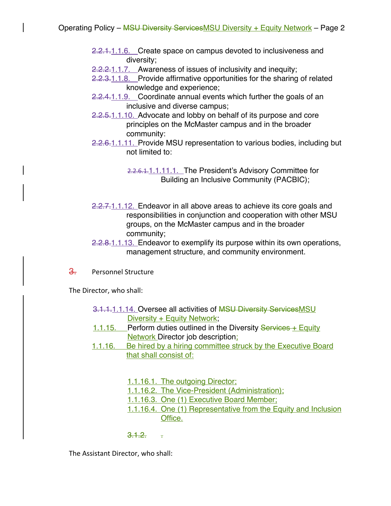- 2.2.1.1.1.6. Create space on campus devoted to inclusiveness and diversity;
- 2.2.2.1.1.7. Awareness of issues of inclusivity and inequity;
- 2.2.3.1.1.8. Provide affirmative opportunities for the sharing of related knowledge and experience;
- 2.2.4.1.1.9. Coordinate annual events which further the goals of an inclusive and diverse campus;
- 2.2.5.1.1.10. Advocate and lobby on behalf of its purpose and core principles on the McMaster campus and in the broader community:
- 2.2.6.1.1.11. Provide MSU representation to various bodies, including but not limited to:

2.2.6.1.1.1.1.1.1. The President's Advisory Committee for Building an Inclusive Community (PACBIC);

- 2.2.7.1.1.12. Endeavor in all above areas to achieve its core goals and responsibilities in conjunction and cooperation with other MSU groups, on the McMaster campus and in the broader community;
- 2.2.8.1.1.13. Endeavor to exemplify its purpose within its own operations, management structure, and community environment.

3. Personnel Structure

The Director, who shall:

- 3.1.1.1.1.14. Oversee all activities of **MSU Diversity ServicesMSU** Diversity + Equity Network;
- 1.1.15. Perform duties outlined in the Diversity Services + Equity **Network Director job description;**
- 1.1.16. Be hired by a hiring committee struck by the Executive Board that shall consist of:
	- 1.1.16.1. The outgoing Director;
	- 1.1.16.2. The Vice-President (Administration);
	- 1.1.16.3. One (1) Executive Board Member;
	- 1.1.16.4. One (1) Representative from the Equity and Inclusion Office.

## $3.1.2.$   $\cdot$

The Assistant Director, who shall: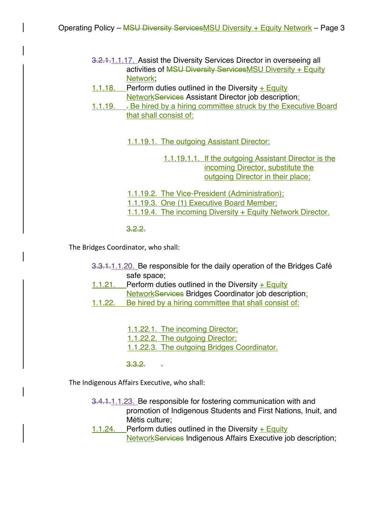- 3.2.1.1.1.17. Assist the Diversity Services Director in overseeing all activities of MSU Diversity ServicesMSU Diversity + Equity Network;
- 1.1.18. Perform duties outlined in the Diversity  $+$  Equity NetworkServices Assistant Director job description;
- 1.1.19. . Be hired by a hiring committee struck by the Executive Board that shall consist of:

1.1.19.1. The outgoing Assistant Director;

1.1.19.1.1. If the outgoing Assistant Director is the incoming Director, substitute the outgoing Director in their place;

1.1.19.2. The Vice-President (Administration); 1.1.19.3. One (1) Executive Board Member; 1.1.19.4. The incoming Diversity + Equity Network Director.

3.2.2.

The Bridges Coordinator, who shall:

- 3.3.1.1.1.20. Be responsible for the daily operation of the Bridges Café safe space;
- 1.1.21. Perform duties outlined in the Diversity  $+$  Equity **NetworkServices Bridges Coordinator job description;**
- 1.1.22. Be hired by a hiring committee that shall consist of:
	- 1.1.22.1. The incoming Director;
	- 1.1.22.2. The outgoing Director;
	- 1.1.22.3. The outgoing Bridges Coordinator.
	- <del>3.3.2.</del> <del>.</del>

The Indigenous Affairs Executive, who shall:

- 3.4.1.1.1.23. Be responsible for fostering communication with and promotion of Indigenous Students and First Nations, Inuit, and Métis culture;
- 1.1.24. Perform duties outlined in the Diversity  $+$  Equity **NetworkServices Indigenous Affairs Executive job description;**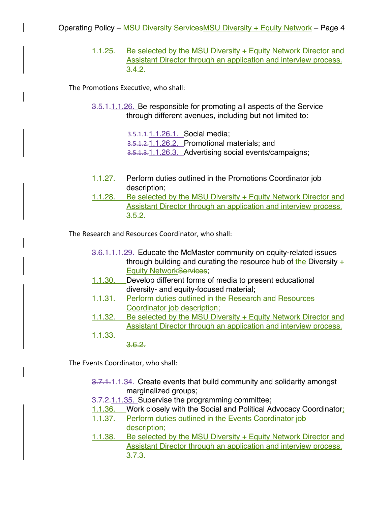1.1.25. Be selected by the MSU Diversity + Equity Network Director and Assistant Director through an application and interview process.  $3.4.2.$ 

The Promotions Executive, who shall:

3.5.1.1.1.26. Be responsible for promoting all aspects of the Service through different avenues, including but not limited to:

> 3.5.1.1.1.1.26.1. Social media; 3.5.1.2.1.1.26.2. Promotional materials; and 3.5.1.3.1.1.26.3. Advertising social events/campaigns;

- 1.1.27. Perform duties outlined in the Promotions Coordinator job description;
- 1.1.28. Be selected by the MSU Diversity + Equity Network Director and Assistant Director through an application and interview process.  $3.5.2.$

The Research and Resources Coordinator, who shall:

- 3.6.1.1.1.29. Educate the McMaster community on equity-related issues through building and curating the resource hub of the Diversity  $+$ Equity NetworkServices;
- 1.1.30. Develop different forms of media to present educational diversity- and equity-focused material;
- 1.1.31. Perform duties outlined in the Research and Resources Coordinator job description;
- 1.1.32. Be selected by the MSU Diversity + Equity Network Director and Assistant Director through an application and interview process.
- 1.1.33.

3.6.2.

The Events Coordinator, who shall:

- 3.7.1.1.1.34. Create events that build community and solidarity amongst marginalized groups;
- 3.7.2.1.1.35. Supervise the programming committee;
- 1.1.36. Work closely with the Social and Political Advocacy Coordinator;
- 1.1.37. Perform duties outlined in the Events Coordinator job description;
- 1.1.38. Be selected by the MSU Diversity + Equity Network Director and Assistant Director through an application and interview process. 3.7.3.